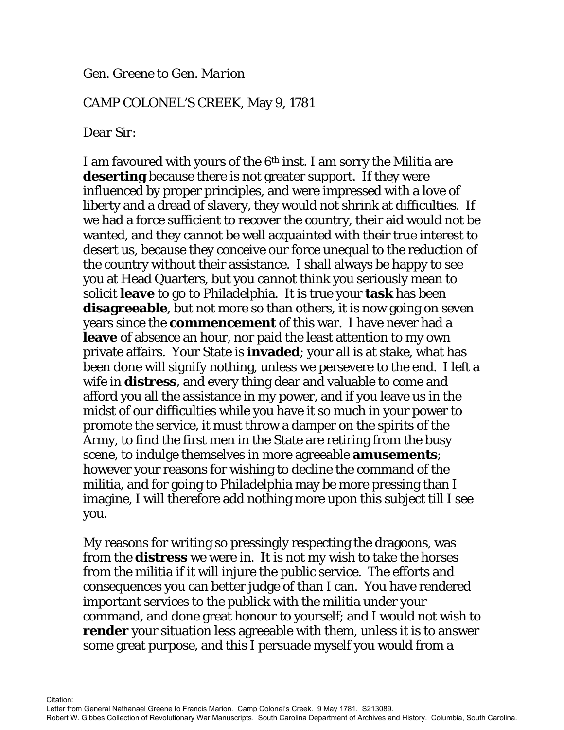## *Gen. Greene to Gen. Marion*

## CAMP COLONEL'S CREEK, May 9, 1781

## *Dear Sir:*

I am favoured with yours of the 6th inst. I am sorry the Militia are **deserting** because there is not greater support. If they were influenced by proper principles, and were impressed with a love of liberty and a dread of slavery, they would not shrink at difficulties. If we had a force sufficient to recover the country, their aid would not be wanted, and they cannot be well acquainted with their true interest to desert us, because they conceive our force unequal to the reduction of the country without their assistance. I shall always be happy to see you at Head Quarters, but you cannot think you seriously mean to solicit **leave** to go to Philadelphia. It is true your **task** has been **disagreeable**, but not more so than others, it is now going on seven years since the **commencement** of this war. I have never had a **leave** of absence an hour, nor paid the least attention to my own private affairs. Your State is **invaded**; your all is at stake, what has been done will signify nothing, unless we persevere to the end. I left a wife in **distress**, and every thing dear and valuable to come and afford you all the assistance in my power, and if you leave us in the midst of our difficulties while you have it so much in your power to promote the service, it must throw a damper on the spirits of the Army, to find the first men in the State are retiring from the busy scene, to indulge themselves in more agreeable **amusements**; however your reasons for wishing to decline the command of the militia, and for going to Philadelphia may be more pressing than I imagine, I will therefore add nothing more upon this subject till I see you.

My reasons for writing so pressingly respecting the dragoons, was from the **distress** we were in. It is not my wish to take the horses from the militia if it will injure the public service. The efforts and consequences you can better judge of than I can. You have rendered important services to the publick with the militia under your command, and done great honour to yourself; and I would not wish to **render** your situation less agreeable with them, unless it is to answer some great purpose, and this I persuade myself you would from a